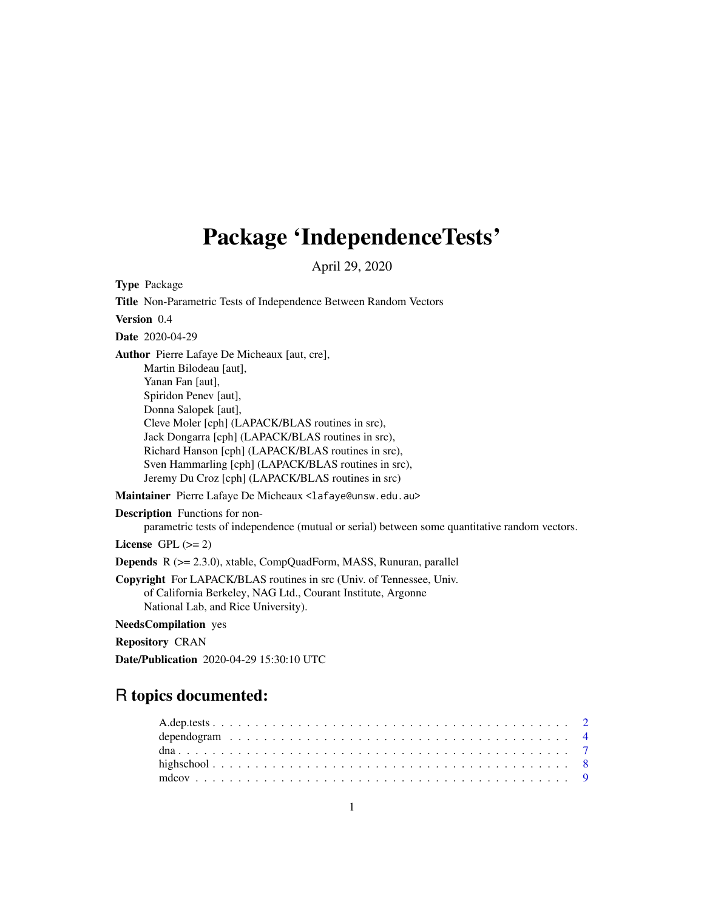## Package 'IndependenceTests'

April 29, 2020

Type Package

Title Non-Parametric Tests of Independence Between Random Vectors Version 0.4 Date 2020-04-29 Author Pierre Lafaye De Micheaux [aut, cre], Martin Bilodeau [aut], Yanan Fan [aut], Spiridon Penev [aut], Donna Salopek [aut], Cleve Moler [cph] (LAPACK/BLAS routines in src), Jack Dongarra [cph] (LAPACK/BLAS routines in src), Richard Hanson [cph] (LAPACK/BLAS routines in src), Sven Hammarling [cph] (LAPACK/BLAS routines in src), Jeremy Du Croz [cph] (LAPACK/BLAS routines in src) Maintainer Pierre Lafaye De Micheaux <lafaye@unsw.edu.au> Description Functions for nonparametric tests of independence (mutual or serial) between some quantitative random vectors. License GPL  $(>= 2)$ Depends R (>= 2.3.0), xtable, CompQuadForm, MASS, Runuran, parallel Copyright For LAPACK/BLAS routines in src (Univ. of Tennessee, Univ. of California Berkeley, NAG Ltd., Courant Institute, Argonne

National Lab, and Rice University).

NeedsCompilation yes

Repository CRAN

Date/Publication 2020-04-29 15:30:10 UTC

### R topics documented: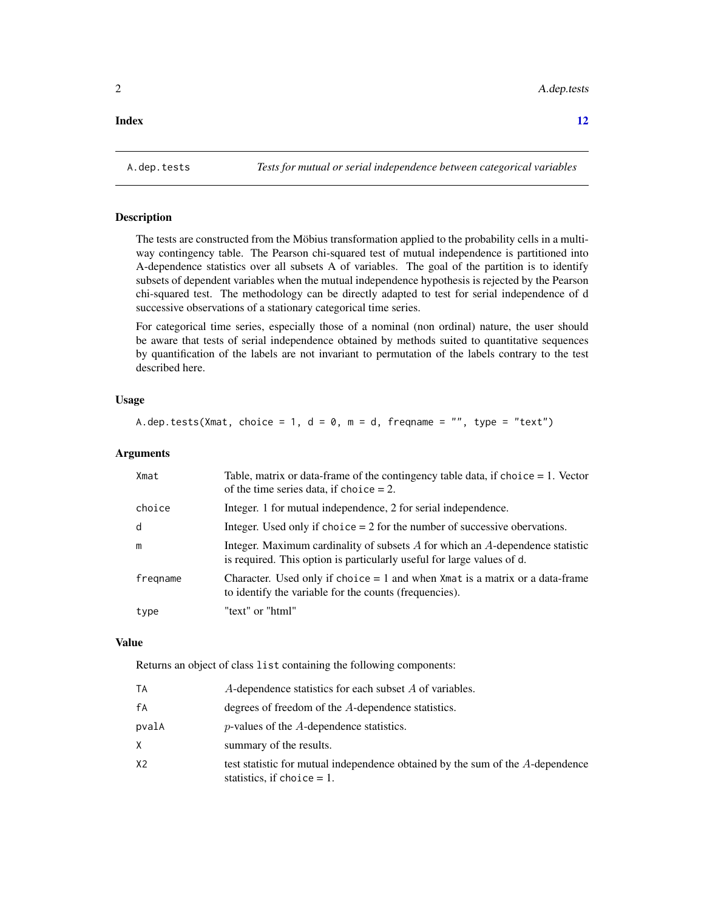#### <span id="page-1-0"></span>**Index** [12](#page-11-0)

A.dep.tests *Tests for mutual or serial independence between categorical variables*

#### Description

The tests are constructed from the Möbius transformation applied to the probability cells in a multiway contingency table. The Pearson chi-squared test of mutual independence is partitioned into A-dependence statistics over all subsets A of variables. The goal of the partition is to identify subsets of dependent variables when the mutual independence hypothesis is rejected by the Pearson chi-squared test. The methodology can be directly adapted to test for serial independence of d successive observations of a stationary categorical time series.

For categorical time series, especially those of a nominal (non ordinal) nature, the user should be aware that tests of serial independence obtained by methods suited to quantitative sequences by quantification of the labels are not invariant to permutation of the labels contrary to the test described here.

#### Usage

A.dep.tests(Xmat, choice = 1,  $d = 0$ ,  $m = d$ , freqname = "", type = "text")

#### Arguments

| Xmat     | Table, matrix or data-frame of the contingency table data, if choice $= 1$ . Vector<br>of the time series data, if choice $= 2$ .                       |
|----------|---------------------------------------------------------------------------------------------------------------------------------------------------------|
| choice   | Integer. 1 for mutual independence, 2 for serial independence.                                                                                          |
| d        | Integer. Used only if choice $= 2$ for the number of successive obervations.                                                                            |
| m        | Integer. Maximum cardinality of subsets A for which an A-dependence statistic<br>is required. This option is particularly useful for large values of d. |
| fregname | Character. Used only if choice $= 1$ and when Xmat is a matrix or a data-frame<br>to identify the variable for the counts (frequencies).                |
| type     | "text" or "html"                                                                                                                                        |

#### Value

Returns an object of class list containing the following components:

| ТA    | A-dependence statistics for each subset A of variables.                                                         |
|-------|-----------------------------------------------------------------------------------------------------------------|
| fА    | degrees of freedom of the A-dependence statistics.                                                              |
| pvalA | $p$ -values of the $A$ -dependence statistics.                                                                  |
| X.    | summary of the results.                                                                                         |
| X2    | test statistic for mutual independence obtained by the sum of the A-dependence<br>statistics, if choice $= 1$ . |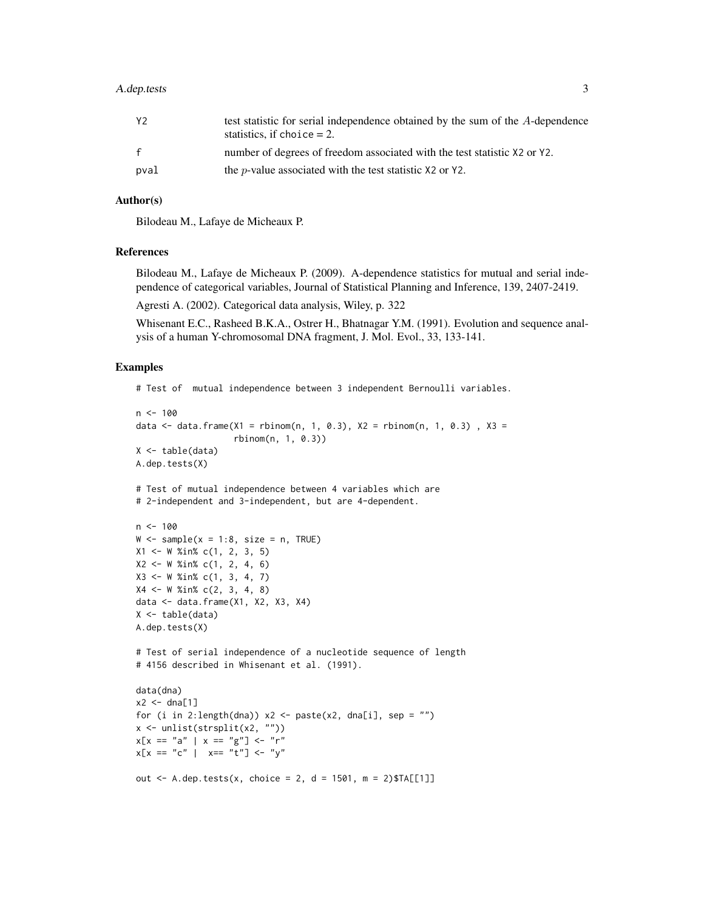#### A.dep.tests 3

| Y2   | test statistic for serial independence obtained by the sum of the A-dependence<br>statistics, if choice $= 2$ . |
|------|-----------------------------------------------------------------------------------------------------------------|
| f    | number of degrees of freedom associated with the test statistic X2 or Y2.                                       |
| pval | the <i>p</i> -value associated with the test statistic $X2$ or $Y2$ .                                           |

#### Author(s)

Bilodeau M., Lafaye de Micheaux P.

#### References

Bilodeau M., Lafaye de Micheaux P. (2009). A-dependence statistics for mutual and serial independence of categorical variables, Journal of Statistical Planning and Inference, 139, 2407-2419.

Agresti A. (2002). Categorical data analysis, Wiley, p. 322

Whisenant E.C., Rasheed B.K.A., Ostrer H., Bhatnagar Y.M. (1991). Evolution and sequence analysis of a human Y-chromosomal DNA fragment, J. Mol. Evol., 33, 133-141.

#### Examples

```
# Test of mutual independence between 3 independent Bernoulli variables.
n < - 100data <- data.frame(X1 = rbinom(n, 1, 0.3), X2 = rbinom(n, 1, 0.3), X3 =
                   rbinom(n, 1, 0.3))
X \leftarrow table(data)
A.dep.tests(X)
# Test of mutual independence between 4 variables which are
# 2-independent and 3-independent, but are 4-dependent.
n < -100W \le - sample(x = 1:8, size = n, TRUE)
X1 \leq W %in% c(1, 2, 3, 5)
X2 <- W %in% c(1, 2, 4, 6)
X3 <- W %in% c(1, 3, 4, 7)
X4 \leq W %in% c(2, 3, 4, 8)
data <- data.frame(X1, X2, X3, X4)
X \leftarrow table(data)
A.dep.tests(X)
# Test of serial independence of a nucleotide sequence of length
# 4156 described in Whisenant et al. (1991).
data(dna)
x2 < - dna[1]
for (i in 2:length(dna)) x^2 <- paste(x2, dna[i], sep = "")
x <- unlist(strsplit(x2, ""))
x[x == "a" | x == "g"] \leq "r"x[x == "c" | x == "t"] \leq - "y"out <- A.dep.tests(x, choice = 2, d = 1501, m = 2)$TA[[1]]
```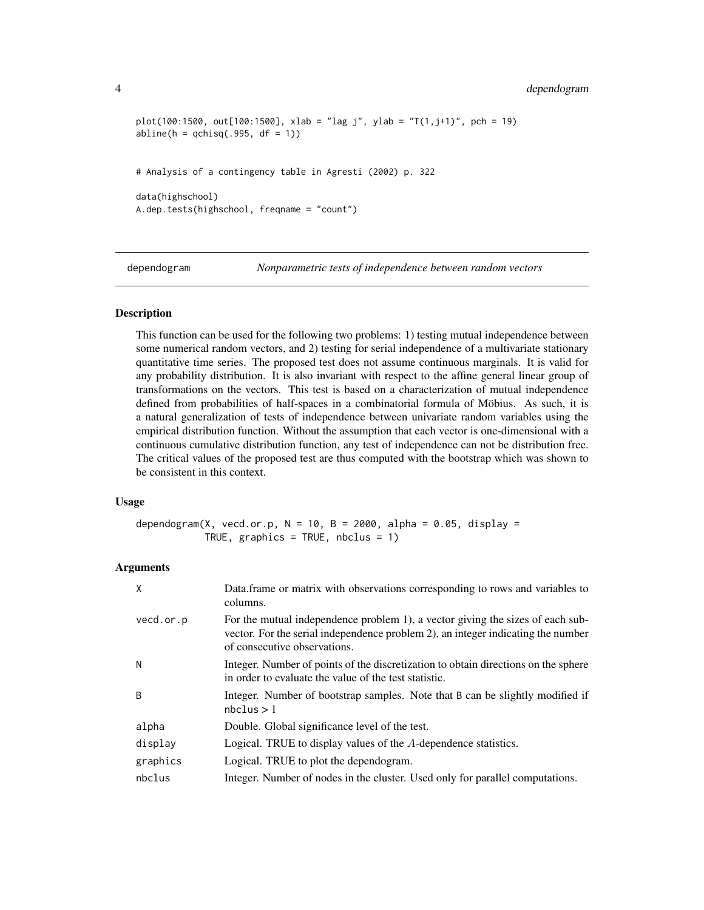```
plot(100:1500, out[100:1500], xlab = "lag j", ylab = "T(1,j+1)", pch = 19)abline(h = qchisq(.995, df = 1))# Analysis of a contingency table in Agresti (2002) p. 322
data(highschool)
A.dep.tests(highschool, freqname = "count")
```
dependogram *Nonparametric tests of independence between random vectors*

#### Description

This function can be used for the following two problems: 1) testing mutual independence between some numerical random vectors, and 2) testing for serial independence of a multivariate stationary quantitative time series. The proposed test does not assume continuous marginals. It is valid for any probability distribution. It is also invariant with respect to the affine general linear group of transformations on the vectors. This test is based on a characterization of mutual independence defined from probabilities of half-spaces in a combinatorial formula of Möbius. As such, it is a natural generalization of tests of independence between univariate random variables using the empirical distribution function. Without the assumption that each vector is one-dimensional with a continuous cumulative distribution function, any test of independence can not be distribution free. The critical values of the proposed test are thus computed with the bootstrap which was shown to be consistent in this context.

#### Usage

dependogram(X, vecd.or.p,  $N = 10$ ,  $B = 2000$ , alpha = 0.05, display = TRUE, graphics = TRUE, nbclus = 1)

#### Arguments

| X         | Data frame or matrix with observations corresponding to rows and variables to<br>columns.                                                                                                          |
|-----------|----------------------------------------------------------------------------------------------------------------------------------------------------------------------------------------------------|
| vecd.or.p | For the mutual independence problem 1), a vector giving the sizes of each sub-<br>vector. For the serial independence problem 2), an integer indicating the number<br>of consecutive observations. |
| N         | Integer. Number of points of the discretization to obtain directions on the sphere<br>in order to evaluate the value of the test statistic.                                                        |
| B.        | Integer. Number of bootstrap samples. Note that B can be slightly modified if<br>$nbc$ lus $>1$                                                                                                    |
| alpha     | Double. Global significance level of the test.                                                                                                                                                     |
| display   | Logical. TRUE to display values of the A-dependence statistics.                                                                                                                                    |
| graphics  | Logical. TRUE to plot the dependogram.                                                                                                                                                             |
| nbclus    | Integer. Number of nodes in the cluster. Used only for parallel computations.                                                                                                                      |

<span id="page-3-0"></span>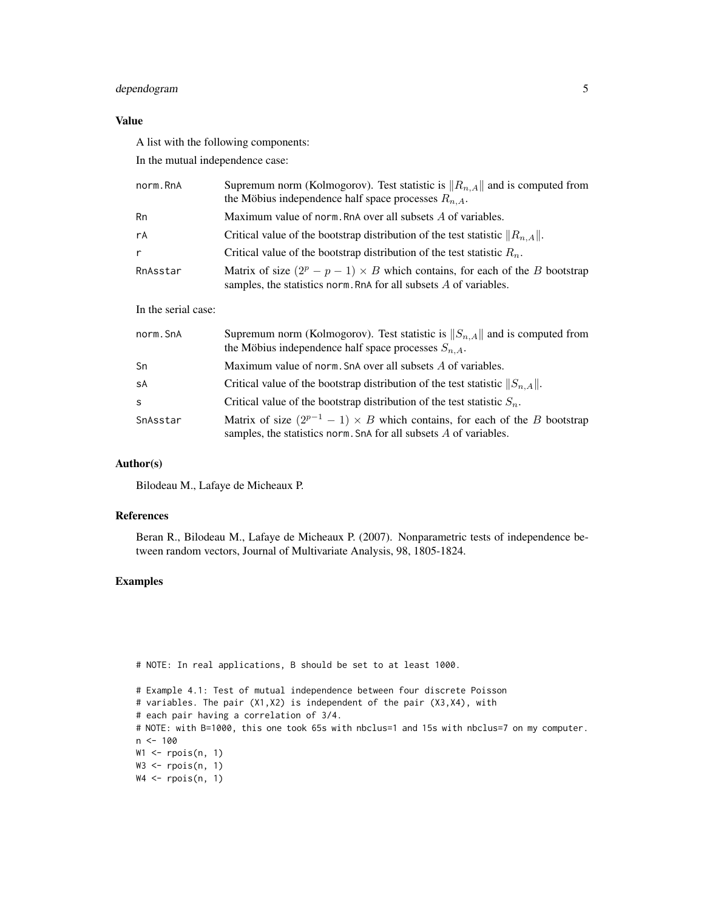#### dependogram 5

#### Value

A list with the following components:

In the mutual independence case:

| norm.RnA | Supremum norm (Kolmogorov). Test statistic is $  R_{n,A}  $ and is computed from<br>the Möbius independence half space processes $R_{n,A}$ .             |
|----------|----------------------------------------------------------------------------------------------------------------------------------------------------------|
| Rn       | Maximum value of norm. RnA over all subsets A of variables.                                                                                              |
| rA       | Critical value of the bootstrap distribution of the test statistic $  R_{n,A}  $ .                                                                       |
| r        | Critical value of the bootstrap distribution of the test statistic $R_n$ .                                                                               |
| RnAsstar | Matrix of size $(2^p - p - 1) \times B$ which contains, for each of the B bootstrap<br>samples, the statistics norm. RnA for all subsets A of variables. |

#### In the serial case:

| norm.SnA | Supremum norm (Kolmogorov). Test statistic is $  S_{n,A}  $ and is computed from<br>the Möbius independence half space processes $S_{n,A}$ .               |
|----------|------------------------------------------------------------------------------------------------------------------------------------------------------------|
| Sn       | Maximum value of norm. SnA over all subsets A of variables.                                                                                                |
| SÅ       | Critical value of the bootstrap distribution of the test statistic $  S_{n,A}  $ .                                                                         |
| S        | Critical value of the bootstrap distribution of the test statistic $S_n$ .                                                                                 |
| SnAsstar | Matrix of size $(2^{p-1} - 1) \times B$ which contains, for each of the B bootstrap<br>samples, the statistics norm. SnA for all subsets $A$ of variables. |

#### Author(s)

Bilodeau M., Lafaye de Micheaux P.

#### References

Beran R., Bilodeau M., Lafaye de Micheaux P. (2007). Nonparametric tests of independence between random vectors, Journal of Multivariate Analysis, 98, 1805-1824.

#### Examples

```
# NOTE: In real applications, B should be set to at least 1000.
# Example 4.1: Test of mutual independence between four discrete Poisson
# variables. The pair (X1,X2) is independent of the pair (X3,X4), with
# each pair having a correlation of 3/4.
# NOTE: with B=1000, this one took 65s with nbclus=1 and 15s with nbclus=7 on my computer.
n < - 100W1 \leftarrow \text{rpois}(n, 1)W3 \leftarrow \text{rpois}(n, 1)W4 \leftarrow \text{rpois}(n, 1)
```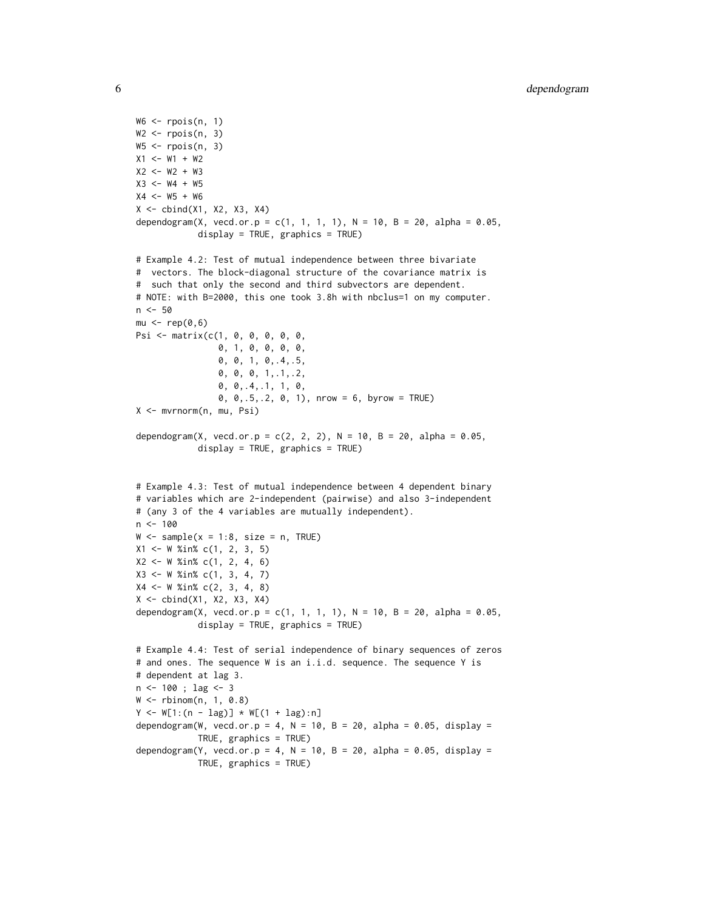```
W6 \leq rpois(n, 1)
W2 \le r \text{pois}(n, 3)W5 \leq rpois(n, 3)
X1 <- W1 + W2
X2 < - W2 + W3X3 < - W4 + W5X4 < - W5 + W6X \leftarrow \text{cbind}(X1, X2, X3, X4)dependogram(X, vecd.or.p = c(1, 1, 1, 1), N = 10, B = 20, alpha = 0.05,
            display = TRUE, graphics = TRUE)
# Example 4.2: Test of mutual independence between three bivariate
# vectors. The block-diagonal structure of the covariance matrix is
# such that only the second and third subvectors are dependent.
# NOTE: with B=2000, this one took 3.8h with nbclus=1 on my computer.
n < -50mu < - rep(0, 6)Psi <- matrix(c(1, 0, 0, 0, 0, 0,
                0, 1, 0, 0, 0, 0,
                0, 0, 1, 0,.4,.5,
                0, 0, 0, 1,.1,.2,
                0, 0,.4,.1, 1, 0,
                0, 0,.5,.2, 0, 1), nrow = 6, byrow = TRUE)
X <- mvrnorm(n, mu, Psi)
dependogram(X, vecd.or.p = c(2, 2, 2), N = 10, B = 20, alpha = 0.05,
            display = TRUE, graphics = TRUE)
# Example 4.3: Test of mutual independence between 4 dependent binary
# variables which are 2-independent (pairwise) and also 3-independent
# (any 3 of the 4 variables are mutually independent).
n < - 100W \le - sample(x = 1:8, size = n, TRUE)
X1 <- W %in% c(1, 2, 3, 5)
X2 \leq W %in% c(1, 2, 4, 6)
X3 <- W %in% c(1, 3, 4, 7)
X4 \leq W %in% c(2, 3, 4, 8)
X <- cbind(X1, X2, X3, X4)
dependogram(X, vecd.or.p = c(1, 1, 1, 1), N = 10, B = 20, alpha = 0.05,
            display = TRUE, graphics = TRUE)
# Example 4.4: Test of serial independence of binary sequences of zeros
# and ones. The sequence W is an i.i.d. sequence. The sequence Y is
# dependent at lag 3.
n <- 100 ; lag <- 3
W <- rbinom(n, 1, 0.8)
Y \le - W[1:(n - lag)] * W[(1 + lag):n]dependogram(W, vecd.or.p = 4, N = 10, B = 20, alpha = 0.05, display =
            TRUE, graphics = TRUE)
dependogram(Y, vecd.or.p = 4, N = 10, B = 20, alpha = 0.05, display =
            TRUE, graphics = TRUE)
```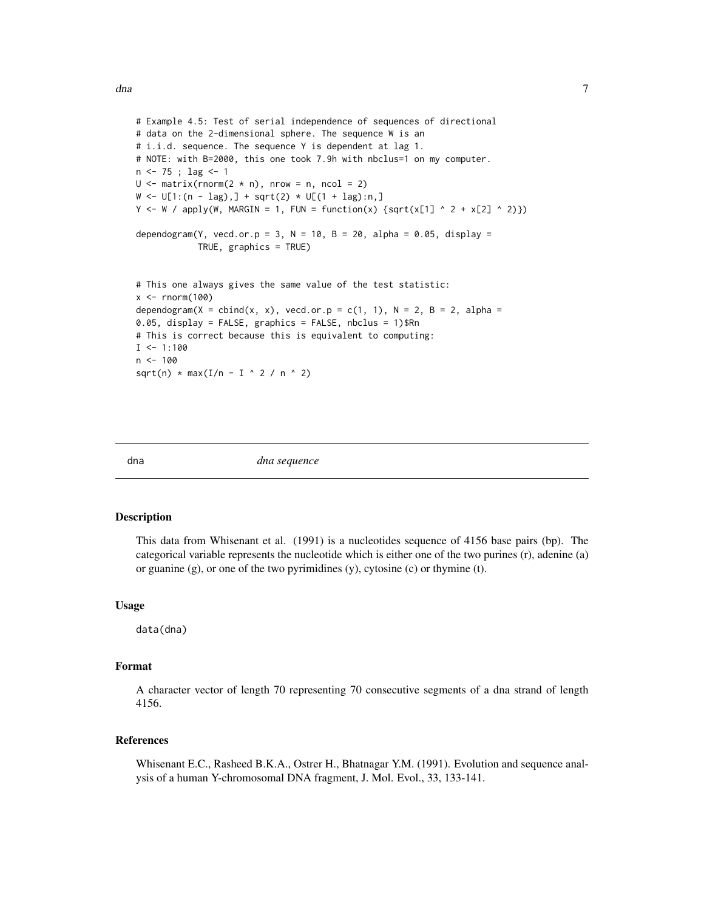```
# Example 4.5: Test of serial independence of sequences of directional
# data on the 2-dimensional sphere. The sequence W is an
# i.i.d. sequence. The sequence Y is dependent at lag 1.
# NOTE: with B=2000, this one took 7.9h with nbclus=1 on my computer.
n <- 75 ; lag <- 1
U \le - matrix(rnorm(2 * n), nrow = n, ncol = 2)
W \leftarrow U[1:(n - lag),] + sqrt(2) * U[(1 + lag):n]Y \leq W / apply(W, MARGIN = 1, FUN = function(x) {sqrt(x[1] ^ 2 + x[2] ^ 2)})
dependogram(Y, vecd.or.p = 3, N = 10, B = 20, alpha = 0.05, display =
            TRUE, graphics = TRUE)
# This one always gives the same value of the test statistic:
x < - rnorm(100)
dependogram(X = cbind(x, x), vecd.or.p = c(1, 1), N = 2, B = 2, alpha =
0.05, display = FALSE, graphics = FALSE, nbclus = 1)$Rn
# This is correct because this is equivalent to computing:
I < -1:100n < - 100sqrt(n) * max(I/n - I * 2 / n * 2)
```
dna *dna sequence*

#### Description

This data from Whisenant et al. (1991) is a nucleotides sequence of 4156 base pairs (bp). The categorical variable represents the nucleotide which is either one of the two purines (r), adenine (a) or guanine (g), or one of the two pyrimidines (y), cytosine (c) or thymine (t).

#### Usage

data(dna)

#### Format

A character vector of length 70 representing 70 consecutive segments of a dna strand of length 4156.

#### References

Whisenant E.C., Rasheed B.K.A., Ostrer H., Bhatnagar Y.M. (1991). Evolution and sequence analysis of a human Y-chromosomal DNA fragment, J. Mol. Evol., 33, 133-141.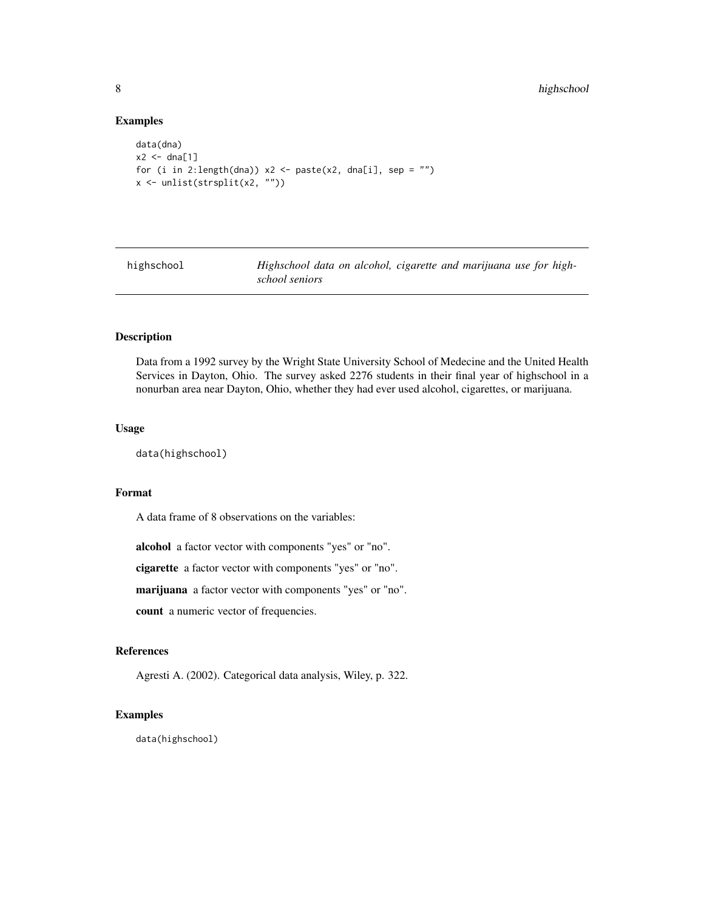#### Examples

```
data(dna)
x2 \leftarrow dna[1]
for (i in 2:length(dna)) x2 \leq - paste(x2, dna[i], sep = "")
x <- unlist(strsplit(x2, ""))
```
highschool *Highschool data on alcohol, cigarette and marijuana use for highschool seniors*

#### Description

Data from a 1992 survey by the Wright State University School of Medecine and the United Health Services in Dayton, Ohio. The survey asked 2276 students in their final year of highschool in a nonurban area near Dayton, Ohio, whether they had ever used alcohol, cigarettes, or marijuana.

#### Usage

```
data(highschool)
```
#### Format

A data frame of 8 observations on the variables:

alcohol a factor vector with components "yes" or "no".

cigarette a factor vector with components "yes" or "no".

marijuana a factor vector with components "yes" or "no".

count a numeric vector of frequencies.

#### References

Agresti A. (2002). Categorical data analysis, Wiley, p. 322.

#### Examples

data(highschool)

<span id="page-7-0"></span>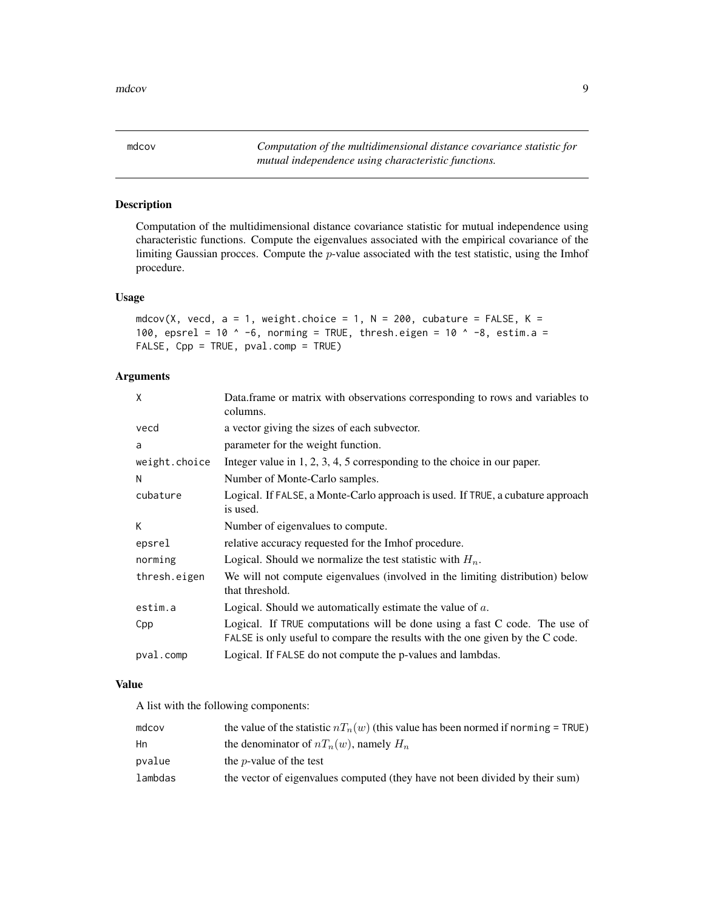<span id="page-8-0"></span>mdcov *Computation of the multidimensional distance covariance statistic for mutual independence using characteristic functions.*

#### Description

Computation of the multidimensional distance covariance statistic for mutual independence using characteristic functions. Compute the eigenvalues associated with the empirical covariance of the limiting Gaussian procces. Compute the  $p$ -value associated with the test statistic, using the Imhof procedure.

#### Usage

```
mdcov(X, vecd, a = 1, weight.choice = 1, N = 200, cubature = FALSE, K =
100, epsrel = 10 \land -6, norming = TRUE, thresh.eigen = 10 \land -8, estim.a =
FALSE, Cpp = TRUE, pval.comp = TRUE)
```
#### Arguments

| Data frame or matrix with observations corresponding to rows and variables to<br>columns.                                                                   |
|-------------------------------------------------------------------------------------------------------------------------------------------------------------|
| a vector giving the sizes of each subvector.                                                                                                                |
| parameter for the weight function.                                                                                                                          |
| Integer value in $1, 2, 3, 4, 5$ corresponding to the choice in our paper.                                                                                  |
| Number of Monte-Carlo samples.                                                                                                                              |
| Logical. If FALSE, a Monte-Carlo approach is used. If TRUE, a cubature approach<br>is used.                                                                 |
| Number of eigenvalues to compute.                                                                                                                           |
| relative accuracy requested for the Imhof procedure.                                                                                                        |
| Logical. Should we normalize the test statistic with $H_n$ .                                                                                                |
| We will not compute eigenvalues (involved in the limiting distribution) below<br>that threshold.                                                            |
| Logical. Should we automatically estimate the value of $a$ .                                                                                                |
| Logical. If TRUE computations will be done using a fast C code. The use of<br>FALSE is only useful to compare the results with the one given by the C code. |
| Logical. If FALSE do not compute the p-values and lambdas.                                                                                                  |
|                                                                                                                                                             |

#### Value

A list with the following components:

| mdcov   | the value of the statistic $nT_n(w)$ (this value has been normed if norming = TRUE) |
|---------|-------------------------------------------------------------------------------------|
| Hn      | the denominator of $nT_n(w)$ , namely $H_n$                                         |
| pvalue  | the <i>p</i> -value of the test                                                     |
| lambdas | the vector of eigenvalues computed (they have not been divided by their sum)        |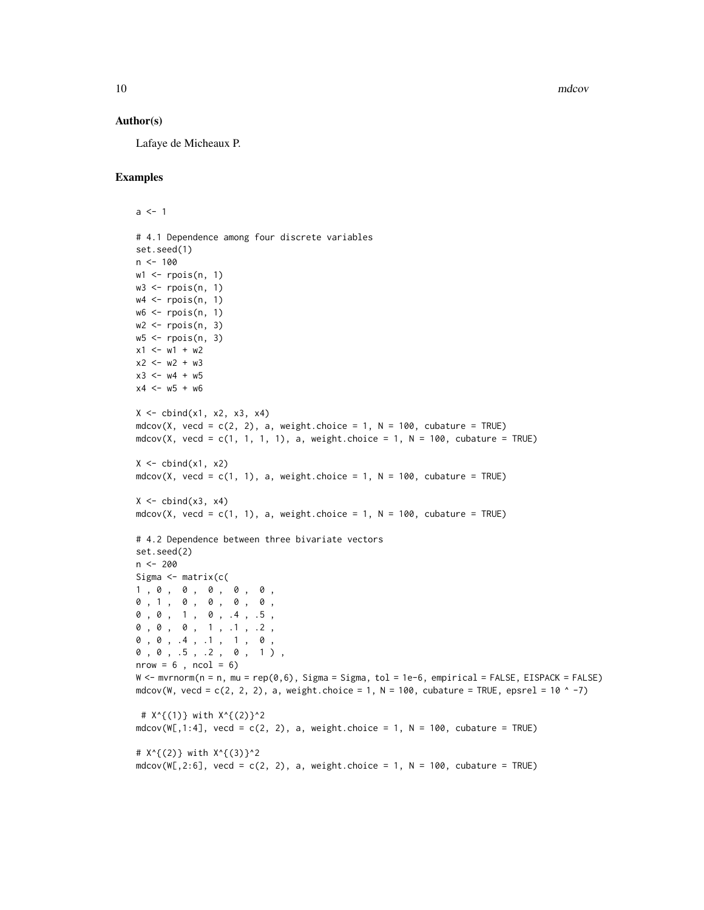10 mdcov

#### Author(s)

Lafaye de Micheaux P.

#### Examples

```
a < -1# 4.1 Dependence among four discrete variables
set.seed(1)
n < -100w1 \leftarrow \text{ppois}(n, 1)w3 \le r \text{pois}(n, 1)w4 \le r \text{pois}(n, 1)w6 \leq - \text{rpois}(n, 1)w2 \le r \text{pois}(n, 3)w5 <- rpois(n, 3)
x1 \le -w1 + w2x2 < - w2 + w3x3 \le -w4 + w5x4 < - w5 + w6X \leftarrow \text{cbind}(x1, x2, x3, x4)mdcov(X, vecd = c(2, 2), a, weight.choice = 1, N = 100, cubature = TRUE)
mdcov(X, vecd = c(1, 1, 1, 1), a, weight.choice = 1, N = 100, cubature = TRUE)
X \leftarrow \text{cbind}(x1, x2)mdcov(X, vecd = c(1, 1), a, weight.choice = 1, N = 100, cubature = TRUE)
X \leftarrow \text{cbind}(x3, x4)mdcov(X, vecd = c(1, 1), a, weight.choice = 1, N = 100, cubature = TRUE)
# 4.2 Dependence between three bivariate vectors
set.seed(2)
n <- 200
Sigma <- matrix(c(
1, 0, 0, 0, 0, 0,
0 , 1 , 0 , 0 , 0 , 0 ,
0 , 0 , 1 , 0 , .4 , .5 ,
0 , 0 , 0 , 1 , .1 , .2 ,
0, 0, .4, .1, 1, 0,
0 , 0 , .5 , .2 , 0 , 1 ) ,
nrow = 6, ncol = 6)
W <- mvrnorm(n = n, mu = rep(0,6), Sigma = Sigma, tol = 1e-6, empirical = FALSE, EISPACK = FALSE)
mdcov(W, vecd = c(2, 2, 2), a, weight.choice = 1, N = 100, cubature = TRUE, epsrel = 10 \textdegree -7)
 # X^{(1)} with X^{(2)}^2
mdcov(W[, 1:4], vecmath>vec = c(2, 2), a, weight-choice = 1, N = 100, cubature = TRUE)# X^{(2)} with X^{(3)}^2
mdcov(W[, 2:6], vecd = c(2, 2), a, weight.close = 1, N = 100, cubature = TRUE)
```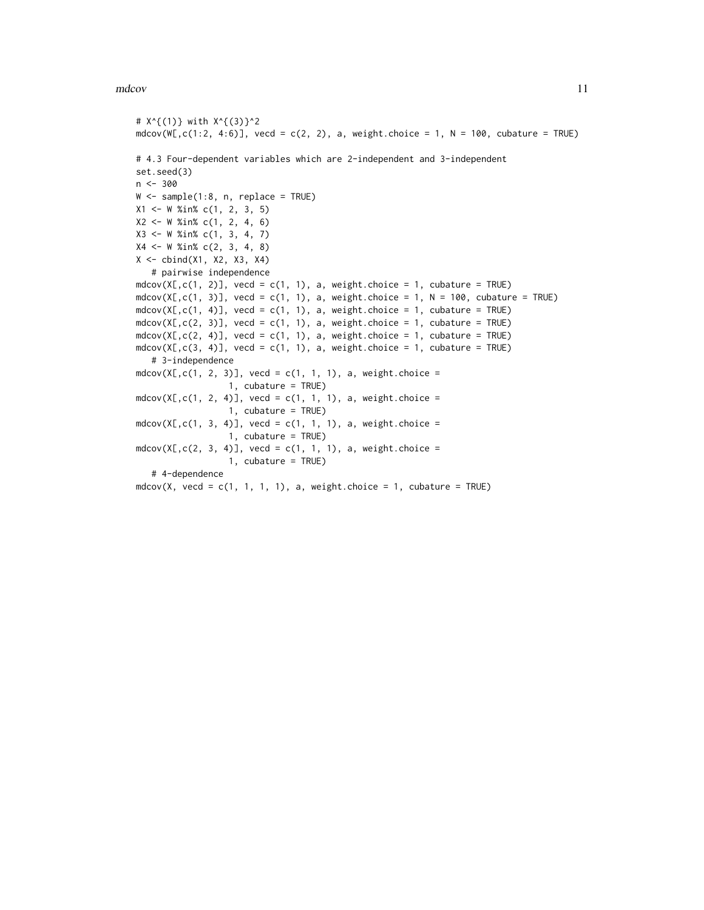#### mdcov 11

```
# X^{(1)} with X^{(3)}^2
mdcov(W[, c(1:2, 4:6)], ved = c(2, 2), a, weight.choice = 1, N = 100, cubature = TRUE# 4.3 Four-dependent variables which are 2-independent and 3-independent
set.seed(3)
n <- 300
W \leq - sample(1:8, n, replace = TRUE)
X1 <- W %in% c(1, 2, 3, 5)
X2 \leq W %in% c(1, 2, 4, 6)
X3 <- W %in% c(1, 3, 4, 7)
X4 \leq W %in% c(2, 3, 4, 8)
X <- cbind(X1, X2, X3, X4)
   # pairwise independence
mdcov(X[,c(1, 2)], vecd = c(1, 1), a, weight.choice = 1, cubature = TRUE)
mdcov(X[,c(1, 3)], vecd = c(1, 1), a, weight.choice = 1, N = 100, cubature = TRUE)
mdcov(X[,c(1, 4)], vecd = c(1, 1), a, weight.choice = 1, cubature = TRUE)
mdcov(X[,c(2, 3)], ved = c(1, 1), a, weight.choice = 1, cubature = TRUE)mdcov(X[,c(2, 4)], vecd = c(1, 1), a, weight.choice = 1, cubature = TRUE)
mdcov(X[,c(3, 4)], vecd = c(1, 1), a, weight.choice = 1, cubature = TRUE)
   # 3-independence
mdcov(X[,c(1, 2, 3)], vecd = c(1, 1, 1), a, weight.choice =
                  1, cubature = TRUE)
mdcov(X[,c(1, 2, 4)], vecd = c(1, 1, 1), a, weight.choice =
                  1, cubature = TRUE)
mdcov(X[,c(1, 3, 4)], vecd = c(1, 1, 1), a, weight.choice =
                  1, cubature = TRUE)
mdcov(X[, c(2, 3, 4)], vecd = c(1, 1, 1), a, weight.choice =
                  1, cubature = TRUE)
   # 4-dependence
mdcov(X, vecd = c(1, 1, 1, 1), a, weight.choice = 1, cubature = TRUE)
```